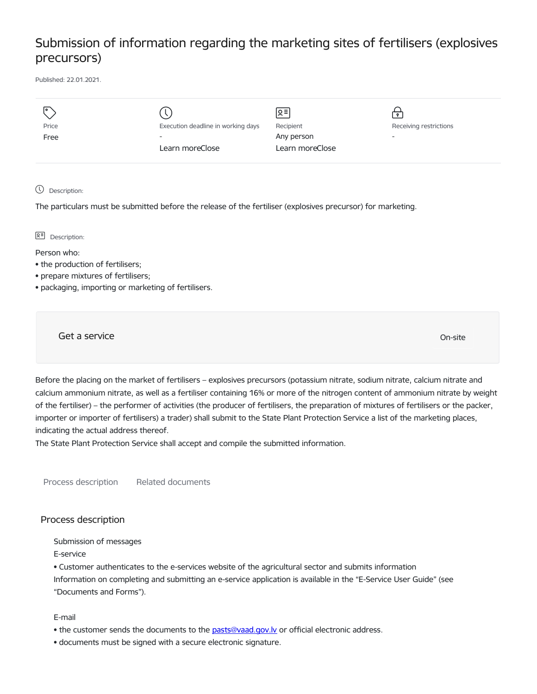## Submission of information regarding the marketing sites of fertilisers (explosives precursors)

Published: 22.01.2021.

| $\overline{1}$ |                                    | Զ≡              |                          |
|----------------|------------------------------------|-----------------|--------------------------|
| Price          | Execution deadline in working days | Recipient       | Receiving restrictions   |
| Free           | $\overline{\phantom{a}}$           | Any person      | $\overline{\phantom{0}}$ |
|                | Learn moreClose                    | Learn moreClose |                          |
|                |                                    |                 |                          |

Description:

The particulars must be submitted before the release of the fertiliser (explosives precursor) for marketing.

 $\sqrt{2}$  Description:

Person who:

- the production of fertilisers;
- prepare mixtures of fertilisers;
- packaging, importing or marketing of fertilisers.

Get a service On-site

Before the placing on the market of fertilisers – explosives precursors (potassium nitrate, sodium nitrate, calcium nitrate and calcium ammonium nitrate, as well as a fertiliser containing 16% or more of the nitrogen content of ammonium nitrate by weight of the fertiliser) – the performer of activities (the producer of fertilisers, the preparation of mixtures of fertilisers or the packer, importer or importer of fertilisers) a trader) shall submit to the State Plant Protection Service a list of the marketing places, indicating the actual address thereof.

The State Plant Protection Service shall accept and compile the submitted information.

Process description Related documents

## Process description

Submission of messages

E-service

• Customer authenticates to the e-services website of the agricultural sector and submits information Information on completing and submitting an e-service application is available in the "E-Service User Guide" (see "Documents and Forms").

E-mail

- the customer sends the documents to the [pasts@vaad.gov.lv](mailto:pasts@vaad.gov.lv) or official electronic address.
- documents must be signed with a secure electronic signature.